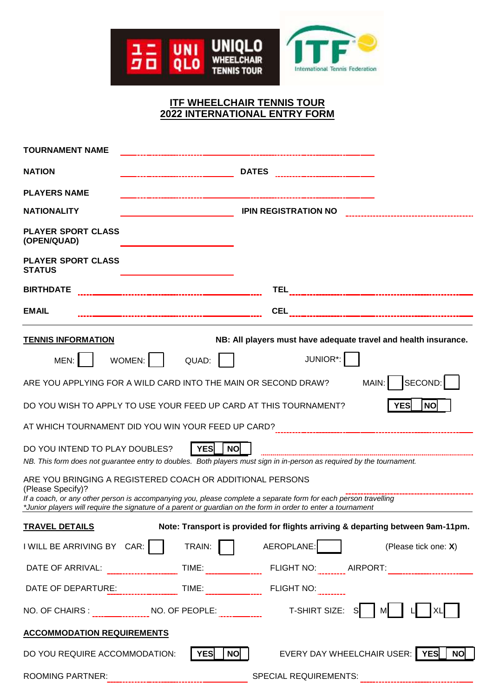

# **ITF WHEELCHAIR TENNIS TOUR 2022 INTERNATIONAL ENTRY FORM**

| <b>TOURNAMENT NAME</b>                                                                                                                                                                                                        |                                                                                                               |  |  |
|-------------------------------------------------------------------------------------------------------------------------------------------------------------------------------------------------------------------------------|---------------------------------------------------------------------------------------------------------------|--|--|
| <b>NATION</b>                                                                                                                                                                                                                 | <b>DATES</b>                                                                                                  |  |  |
| <b>PLAYERS NAME</b>                                                                                                                                                                                                           | -------------------------------------                                                                         |  |  |
| <b>NATIONALITY</b>                                                                                                                                                                                                            | <b>IPIN REGISTRATION NO</b>                                                                                   |  |  |
| <b>PLAYER SPORT CLASS</b><br>(OPEN/QUAD)                                                                                                                                                                                      |                                                                                                               |  |  |
| <b>PLAYER SPORT CLASS</b><br><b>STATUS</b>                                                                                                                                                                                    |                                                                                                               |  |  |
| <b>BIRTHDATE</b>                                                                                                                                                                                                              |                                                                                                               |  |  |
| <b>EMAIL</b>                                                                                                                                                                                                                  |                                                                                                               |  |  |
| <b>TENNIS INFORMATION</b>                                                                                                                                                                                                     | NB: All players must have adequate travel and health insurance.                                               |  |  |
| WOMEN:<br>MEN:                                                                                                                                                                                                                | JUNIOR*:<br>QUAD:                                                                                             |  |  |
|                                                                                                                                                                                                                               | SECOND: I<br>MAIN:<br>ARE YOU APPLYING FOR A WILD CARD INTO THE MAIN OR SECOND DRAW?                          |  |  |
| <b>YES</b><br>DO YOU WISH TO APPLY TO USE YOUR FEED UP CARD AT THIS TOURNAMENT?<br><b>NO</b>                                                                                                                                  |                                                                                                               |  |  |
| AT WHICH TOURNAMENT DID YOU WIN YOUR FEED UP CARD? [11] [11] 11] 12-11 [12] 2012 TOURNAMENT DID YOU WIN YOUR FEED UP CARD? [11] 120   120   120   120   121   122   123   124   125   126   127   127   127   127   128   128 |                                                                                                               |  |  |
| <b>YES</b><br><b>NO</b><br>DO YOU INTEND TO PLAY DOUBLES?<br>NB. This form does not guarantee entry to doubles. Both players must sign in in-person as required by the tournament.                                            |                                                                                                               |  |  |
| ARE YOU BRINGING A REGISTERED COACH OR ADDITIONAL PERSONS<br>(Please Specify)?<br>If a coach, or any other person is accompanying you, please complete a separate form for each person travelling                             |                                                                                                               |  |  |
|                                                                                                                                                                                                                               | *Junior players will require the signature of a parent or guardian on the form in order to enter a tournament |  |  |
| <b>TRAVEL DETAILS</b>                                                                                                                                                                                                         | Note: Transport is provided for flights arriving & departing between 9am-11pm.                                |  |  |
| I WILL BE ARRIVING BY $CAR:$                                                                                                                                                                                                  | AEROPLANE:<br>TRAIN:<br>(Please tick one: X)                                                                  |  |  |
|                                                                                                                                                                                                                               |                                                                                                               |  |  |
|                                                                                                                                                                                                                               | <b>FLIGHT NO:</b>                                                                                             |  |  |
|                                                                                                                                                                                                                               | NO. OF CHAIRS : _________________ NO. OF PEOPLE: ________________________________ T-SHIRT SIZE:<br>MI         |  |  |
| <b>ACCOMMODATION REQUIREMENTS</b>                                                                                                                                                                                             |                                                                                                               |  |  |
| DO YOU REQUIRE ACCOMMODATION:                                                                                                                                                                                                 | EVERY DAY WHEELCHAIR USER:<br><b>YES</b><br>YES<br><b>NO</b><br><b>NO</b>                                     |  |  |
| <b>ROOMING PARTNER:</b>                                                                                                                                                                                                       | SPECIAL REQUIREMENTS:                                                                                         |  |  |